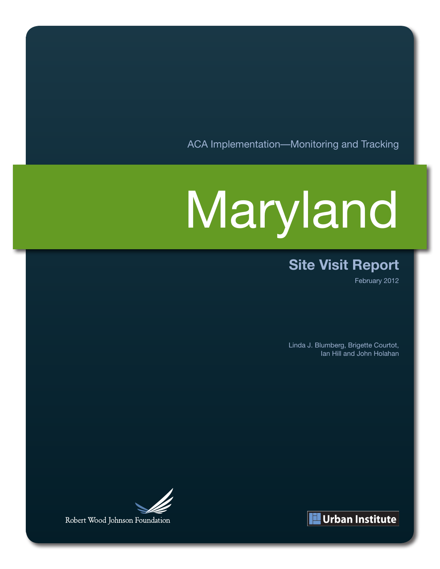ACA Implementation—Monitoring and Tracking

# Maryland

### **Site Visit Report**

February 2012

Linda J. Blumberg, Brigette Courtot, Ian Hill and John Holahan



Robert Wood Johnson Foundation

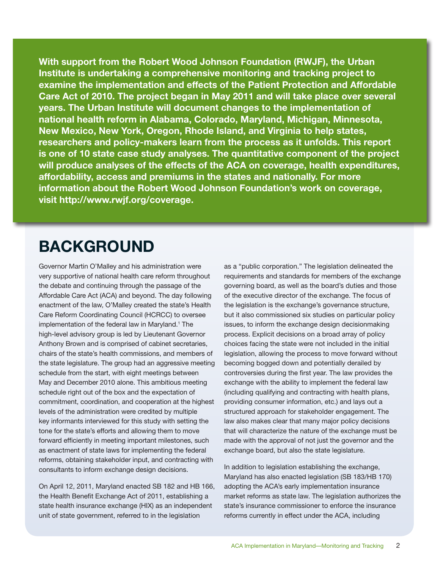**With support from the Robert Wood Johnson Foundation (RWJF), the Urban Institute is undertaking a comprehensive monitoring and tracking project to examine the implementation and effects of the Patient Protection and Affordable Care Act of 2010. The project began in May 2011 and will take place over several years. The Urban Institute will document changes to the implementation of national health reform in Alabama, Colorado, Maryland, Michigan, Minnesota, New Mexico, New York, Oregon, Rhode Island, and Virginia to help states, researchers and policy-makers learn from the process as it unfolds. This report is one of 10 state case study analyses. The quantitative component of the project will produce analyses of the effects of the ACA on coverage, health expenditures, affordability, access and premiums in the states and nationally. For more information about the Robert Wood Johnson Foundation's work on coverage, visit http://www.rwjf.org/coverage.**

# **BACKGROUND**

Governor Martin O'Malley and his administration were very supportive of national health care reform throughout the debate and continuing through the passage of the Affordable Care Act (ACA) and beyond. The day following enactment of the law, O'Malley created the state's Health Care Reform Coordinating Council (HCRCC) to oversee implementation of the federal law in Maryland.<sup>1</sup> The high-level advisory group is led by Lieutenant Governor Anthony Brown and is comprised of cabinet secretaries, chairs of the state's health commissions, and members of the state legislature. The group had an aggressive meeting schedule from the start, with eight meetings between May and December 2010 alone. This ambitious meeting schedule right out of the box and the expectation of commitment, coordination, and cooperation at the highest levels of the administration were credited by multiple key informants interviewed for this study with setting the tone for the state's efforts and allowing them to move forward efficiently in meeting important milestones, such as enactment of state laws for implementing the federal reforms, obtaining stakeholder input, and contracting with consultants to inform exchange design decisions.

On April 12, 2011, Maryland enacted SB 182 and HB 166, the Health Benefit Exchange Act of 2011, establishing a state health insurance exchange (HIX) as an independent unit of state government, referred to in the legislation

as a "public corporation." The legislation delineated the requirements and standards for members of the exchange governing board, as well as the board's duties and those of the executive director of the exchange. The focus of the legislation is the exchange's governance structure, but it also commissioned six studies on particular policy issues, to inform the exchange design decisionmaking process. Explicit decisions on a broad array of policy choices facing the state were not included in the initial legislation, allowing the process to move forward without becoming bogged down and potentially derailed by controversies during the first year. The law provides the exchange with the ability to implement the federal law (including qualifying and contracting with health plans, providing consumer information, etc.) and lays out a structured approach for stakeholder engagement. The law also makes clear that many major policy decisions that will characterize the nature of the exchange must be made with the approval of not just the governor and the exchange board, but also the state legislature.

In addition to legislation establishing the exchange, Maryland has also enacted legislation (SB 183/HB 170) adopting the ACA's early implementation insurance market reforms as state law. The legislation authorizes the state's insurance commissioner to enforce the insurance reforms currently in effect under the ACA, including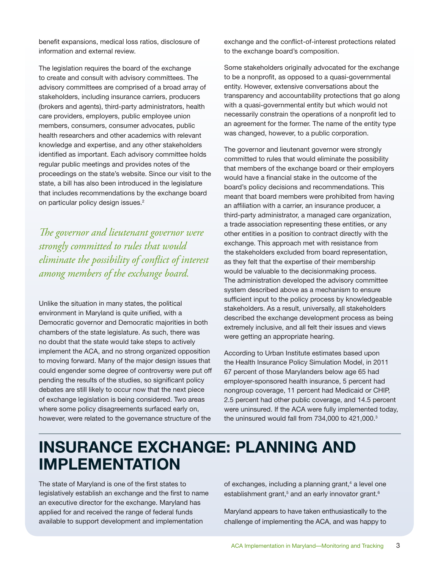benefit expansions, medical loss ratios, disclosure of information and external review.

The legislation requires the board of the exchange to create and consult with advisory committees. The advisory committees are comprised of a broad array of stakeholders, including insurance carriers, producers (brokers and agents), third-party administrators, health care providers, employers, public employee union members, consumers, consumer advocates, public health researchers and other academics with relevant knowledge and expertise, and any other stakeholders identified as important. Each advisory committee holds regular public meetings and provides notes of the proceedings on the state's website. Since our visit to the state, a bill has also been introduced in the legislature that includes recommendations by the exchange board on particular policy design issues.<sup>2</sup>

*The governor and lieutenant governor were strongly committed to rules that would eliminate the possibility of conflict of interest among members of the exchange board.*

Unlike the situation in many states, the political environment in Maryland is quite unified, with a Democratic governor and Democratic majorities in both chambers of the state legislature. As such, there was no doubt that the state would take steps to actively implement the ACA, and no strong organized opposition to moving forward. Many of the major design issues that could engender some degree of controversy were put off pending the results of the studies, so significant policy debates are still likely to occur now that the next piece of exchange legislation is being considered. Two areas where some policy disagreements surfaced early on, however, were related to the governance structure of the

exchange and the conflict-of-interest protections related to the exchange board's composition.

Some stakeholders originally advocated for the exchange to be a nonprofit, as opposed to a quasi-governmental entity. However, extensive conversations about the transparency and accountability protections that go along with a quasi-governmental entity but which would not necessarily constrain the operations of a nonprofit led to an agreement for the former. The name of the entity type was changed, however, to a public corporation.

The governor and lieutenant governor were strongly committed to rules that would eliminate the possibility that members of the exchange board or their employers would have a financial stake in the outcome of the board's policy decisions and recommendations. This meant that board members were prohibited from having an affiliation with a carrier, an insurance producer, a third-party administrator, a managed care organization, a trade association representing these entities, or any other entities in a position to contract directly with the exchange. This approach met with resistance from the stakeholders excluded from board representation, as they felt that the expertise of their membership would be valuable to the decisionmaking process. The administration developed the advisory committee system described above as a mechanism to ensure sufficient input to the policy process by knowledgeable stakeholders. As a result, universally, all stakeholders described the exchange development process as being extremely inclusive, and all felt their issues and views were getting an appropriate hearing.

According to Urban Institute estimates based upon the Health Insurance Policy Simulation Model, in 2011 67 percent of those Marylanders below age 65 had employer-sponsored health insurance, 5 percent had nongroup coverage, 11 percent had Medicaid or CHIP, 2.5 percent had other public coverage, and 14.5 percent were uninsured. If the ACA were fully implemented today, the uninsured would fall from 734,000 to 421,000.<sup>3</sup>

# **INSURANCE EXCHANGE: PLANNING AND IMPLEMENTATION**

The state of Maryland is one of the first states to legislatively establish an exchange and the first to name an executive director for the exchange. Maryland has applied for and received the range of federal funds available to support development and implementation

of exchanges, including a planning grant,<sup>4</sup> a level one establishment grant,<sup>5</sup> and an early innovator grant.<sup>6</sup>

Maryland appears to have taken enthusiastically to the challenge of implementing the ACA, and was happy to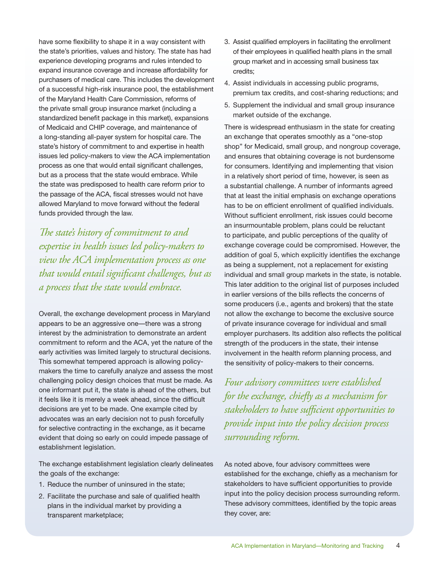have some flexibility to shape it in a way consistent with the state's priorities, values and history. The state has had experience developing programs and rules intended to expand insurance coverage and increase affordability for purchasers of medical care. This includes the development of a successful high-risk insurance pool, the establishment of the Maryland Health Care Commission, reforms of the private small group insurance market (including a standardized benefit package in this market), expansions of Medicaid and CHIP coverage, and maintenance of a long-standing all-payer system for hospital care. The state's history of commitment to and expertise in health issues led policy-makers to view the ACA implementation process as one that would entail significant challenges, but as a process that the state would embrace. While the state was predisposed to health care reform prior to the passage of the ACA, fiscal stresses would not have allowed Maryland to move forward without the federal funds provided through the law.

*The state's history of commitment to and expertise in health issues led policy-makers to view the ACA implementation process as one that would entail significant challenges, but as a process that the state would embrace.*

Overall, the exchange development process in Maryland appears to be an aggressive one—there was a strong interest by the administration to demonstrate an ardent commitment to reform and the ACA, yet the nature of the early activities was limited largely to structural decisions. This somewhat tempered approach is allowing policymakers the time to carefully analyze and assess the most challenging policy design choices that must be made. As one informant put it, the state is ahead of the others, but it feels like it is merely a week ahead, since the difficult decisions are yet to be made. One example cited by advocates was an early decision not to push forcefully for selective contracting in the exchange, as it became evident that doing so early on could impede passage of establishment legislation.

The exchange establishment legislation clearly delineates the goals of the exchange:

- 1. Reduce the number of uninsured in the state;
- 2. Facilitate the purchase and sale of qualified health plans in the individual market by providing a transparent marketplace;
- 3. Assist qualified employers in facilitating the enrollment of their employees in qualified health plans in the small group market and in accessing small business tax credits;
- 4. Assist individuals in accessing public programs, premium tax credits, and cost-sharing reductions; and
- 5. Supplement the individual and small group insurance market outside of the exchange.

There is widespread enthusiasm in the state for creating an exchange that operates smoothly as a "one-stop shop" for Medicaid, small group, and nongroup coverage, and ensures that obtaining coverage is not burdensome for consumers. Identifying and implementing that vision in a relatively short period of time, however, is seen as a substantial challenge. A number of informants agreed that at least the initial emphasis on exchange operations has to be on efficient enrollment of qualified individuals. Without sufficient enrollment, risk issues could become an insurmountable problem, plans could be reluctant to participate, and public perceptions of the quality of exchange coverage could be compromised. However, the addition of goal 5, which explicitly identifies the exchange as being a supplement, not a replacement for existing individual and small group markets in the state, is notable. This later addition to the original list of purposes included in earlier versions of the bills reflects the concerns of some producers (i.e., agents and brokers) that the state not allow the exchange to become the exclusive source of private insurance coverage for individual and small employer purchasers. Its addition also reflects the political strength of the producers in the state, their intense involvement in the health reform planning process, and the sensitivity of policy-makers to their concerns.

*Four advisory committees were established for the exchange, chiefly as a mechanism for stakeholders to have sufficient opportunities to provide input into the policy decision process surrounding reform.*

As noted above, four advisory committees were established for the exchange, chiefly as a mechanism for stakeholders to have sufficient opportunities to provide input into the policy decision process surrounding reform. These advisory committees, identified by the topic areas they cover, are: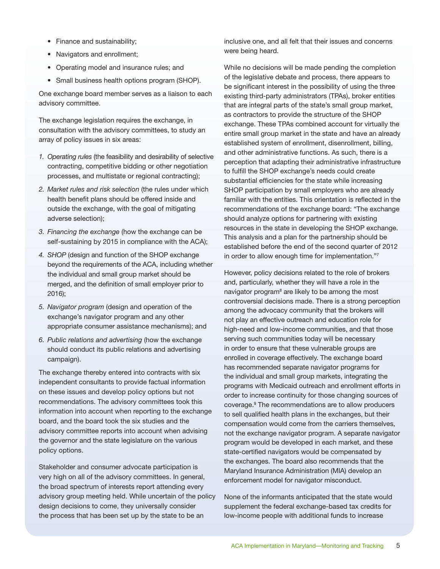- Finance and sustainability;
- Navigators and enrollment;
- • Operating model and insurance rules; and
- Small business health options program (SHOP).

One exchange board member serves as a liaison to each advisory committee.

The exchange legislation requires the exchange, in consultation with the advisory committees, to study an array of policy issues in six areas:

- *1. Operating rules* (the feasibility and desirability of selective contracting, competitive bidding or other negotiation processes, and multistate or regional contracting);
- *2. Market rules and risk selection* (the rules under which health benefit plans should be offered inside and outside the exchange, with the goal of mitigating adverse selection);
- *3. Financing the exchange* (how the exchange can be self-sustaining by 2015 in compliance with the ACA);
- *4. SHOP* (design and function of the SHOP exchange beyond the requirements of the ACA, including whether the individual and small group market should be merged, and the definition of small employer prior to 2016);
- *5. Navigator program* (design and operation of the exchange's navigator program and any other appropriate consumer assistance mechanisms); and
- *6. Public relations and advertising* (how the exchange should conduct its public relations and advertising campaign).

The exchange thereby entered into contracts with six independent consultants to provide factual information on these issues and develop policy options but not recommendations. The advisory committees took this information into account when reporting to the exchange board, and the board took the six studies and the advisory committee reports into account when advising the governor and the state legislature on the various policy options.

Stakeholder and consumer advocate participation is very high on all of the advisory committees. In general, the broad spectrum of interests report attending every advisory group meeting held. While uncertain of the policy design decisions to come, they universally consider the process that has been set up by the state to be an

inclusive one, and all felt that their issues and concerns were being heard.

While no decisions will be made pending the completion of the legislative debate and process, there appears to be significant interest in the possibility of using the three existing third-party administrators (TPAs), broker entities that are integral parts of the state's small group market, as contractors to provide the structure of the SHOP exchange. These TPAs combined account for virtually the entire small group market in the state and have an already established system of enrollment, disenrollment, billing, and other administrative functions. As such, there is a perception that adapting their administrative infrastructure to fulfill the SHOP exchange's needs could create substantial efficiencies for the state while increasing SHOP participation by small employers who are already familiar with the entities. This orientation is reflected in the recommendations of the exchange board: "The exchange should analyze options for partnering with existing resources in the state in developing the SHOP exchange. This analysis and a plan for the partnership should be established before the end of the second quarter of 2012 in order to allow enough time for implementation."7

However, policy decisions related to the role of brokers and, particularly, whether they will have a role in the navigator program<sup>8</sup> are likely to be among the most controversial decisions made. There is a strong perception among the advocacy community that the brokers will not play an effective outreach and education role for high-need and low-income communities, and that those serving such communities today will be necessary in order to ensure that these vulnerable groups are enrolled in coverage effectively. The exchange board has recommended separate navigator programs for the individual and small group markets, integrating the programs with Medicaid outreach and enrollment efforts in order to increase continuity for those changing sources of coverage.9 The recommendations are to allow producers to sell qualified health plans in the exchanges, but their compensation would come from the carriers themselves, not the exchange navigator program. A separate navigator program would be developed in each market, and these state-certified navigators would be compensated by the exchanges. The board also recommends that the Maryland Insurance Administration (MIA) develop an enforcement model for navigator misconduct.

None of the informants anticipated that the state would supplement the federal exchange-based tax credits for low-income people with additional funds to increase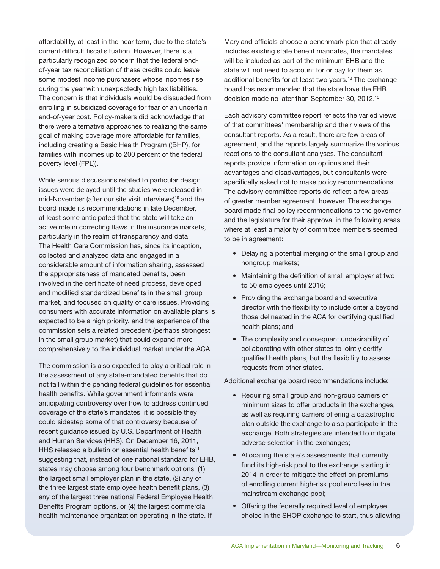affordability, at least in the near term, due to the state's current difficult fiscal situation. However, there is a particularly recognized concern that the federal endof-year tax reconciliation of these credits could leave some modest income purchasers whose incomes rise during the year with unexpectedly high tax liabilities. The concern is that individuals would be dissuaded from enrolling in subsidized coverage for fear of an uncertain end-of-year cost. Policy-makers did acknowledge that there were alternative approaches to realizing the same goal of making coverage more affordable for families, including creating a Basic Health Program ((BHP), for families with incomes up to 200 percent of the federal poverty level (FPL)).

While serious discussions related to particular design issues were delayed until the studies were released in mid-November (after our site visit interviews)<sup>10</sup> and the board made its recommendations in late December, at least some anticipated that the state will take an active role in correcting flaws in the insurance markets, particularly in the realm of transparency and data. The Health Care Commission has, since its inception, collected and analyzed data and engaged in a considerable amount of information sharing, assessed the appropriateness of mandated benefits, been involved in the certificate of need process, developed and modified standardized benefits in the small group market, and focused on quality of care issues. Providing consumers with accurate information on available plans is expected to be a high priority, and the experience of the commission sets a related precedent (perhaps strongest in the small group market) that could expand more comprehensively to the individual market under the ACA.

The commission is also expected to play a critical role in the assessment of any state-mandated benefits that do not fall within the pending federal guidelines for essential health benefits. While government informants were anticipating controversy over how to address continued coverage of the state's mandates, it is possible they could sidestep some of that controversy because of recent guidance issued by U.S. Department of Health and Human Services (HHS). On December 16, 2011, HHS released a bulletin on essential health benefits<sup>11</sup> suggesting that, instead of one national standard for EHB, states may choose among four benchmark options: (1) the largest small employer plan in the state, (2) any of the three largest state employee health benefit plans, (3) any of the largest three national Federal Employee Health Benefits Program options, or (4) the largest commercial health maintenance organization operating in the state. If

Maryland officials choose a benchmark plan that already includes existing state benefit mandates, the mandates will be included as part of the minimum EHB and the state will not need to account for or pay for them as additional benefits for at least two years.<sup>12</sup> The exchange board has recommended that the state have the EHB decision made no later than September 30, 2012.<sup>13</sup>

Each advisory committee report reflects the varied views of that committees' membership and their views of the consultant reports. As a result, there are few areas of agreement, and the reports largely summarize the various reactions to the consultant analyses. The consultant reports provide information on options and their advantages and disadvantages, but consultants were specifically asked not to make policy recommendations. The advisory committee reports do reflect a few areas of greater member agreement, however. The exchange board made final policy recommendations to the governor and the legislature for their approval in the following areas where at least a majority of committee members seemed to be in agreement:

- Delaying a potential merging of the small group and nongroup markets;
- Maintaining the definition of small employer at two to 50 employees until 2016;
- Providing the exchange board and executive director with the flexibility to include criteria beyond those delineated in the ACA for certifying qualified health plans; and
- The complexity and consequent undesirability of collaborating with other states to jointly certify qualified health plans, but the flexibility to assess requests from other states.

Additional exchange board recommendations include:

- Requiring small group and non-group carriers of minimum sizes to offer products in the exchanges, as well as requiring carriers offering a catastrophic plan outside the exchange to also participate in the exchange. Both strategies are intended to mitigate adverse selection in the exchanges;
- • Allocating the state's assessments that currently fund its high-risk pool to the exchange starting in 2014 in order to mitigate the effect on premiums of enrolling current high-risk pool enrollees in the mainstream exchange pool;
- Offering the federally required level of employee choice in the SHOP exchange to start, thus allowing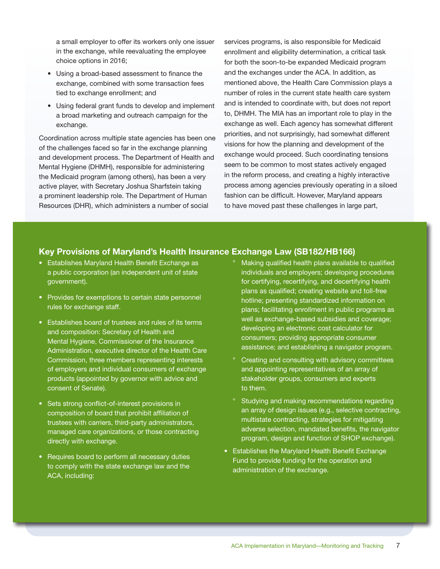a small employer to offer its workers only one issuer in the exchange, while reevaluating the employee choice options in 2016;

- Using a broad-based assessment to finance the exchange, combined with some transaction fees tied to exchange enrollment; and
- Using federal grant funds to develop and implement a broad marketing and outreach campaign for the exchange.

Coordination across multiple state agencies has been one of the challenges faced so far in the exchange planning and development process. The Department of Health and Mental Hygiene (DHMH), responsible for administering the Medicaid program (among others), has been a very active player, with Secretary Joshua Sharfstein taking a prominent leadership role. The Department of Human Resources (DHR), which administers a number of social

services programs, is also responsible for Medicaid enrollment and eligibility determination, a critical task for both the soon-to-be expanded Medicaid program and the exchanges under the ACA. In addition, as mentioned above, the Health Care Commission plays a number of roles in the current state health care system and is intended to coordinate with, but does not report to, DHMH. The MIA has an important role to play in the exchange as well. Each agency has somewhat different priorities, and not surprisingly, had somewhat different visions for how the planning and development of the exchange would proceed. Such coordinating tensions seem to be common to most states actively engaged in the reform process, and creating a highly interactive process among agencies previously operating in a siloed fashion can be difficult. However, Maryland appears to have moved past these challenges in large part,

### **Key Provisions of Maryland's Health Insurance Exchange Law (SB182/HB166)**

- Establishes Maryland Health Benefit Exchange as a public corporation (an independent unit of state government).
- Provides for exemptions to certain state personnel rules for exchange staff.
- Establishes board of trustees and rules of its terms and composition: Secretary of Health and Mental Hygiene, Commissioner of the Insurance Administration, executive director of the Health Care Commission, three members representing interests of employers and individual consumers of exchange products (appointed by governor with advice and consent of Senate).
- Sets strong conflict-of-interest provisions in composition of board that prohibit affiliation of trustees with carriers, third-party administrators, managed care organizations, or those contracting directly with exchange.
- Requires board to perform all necessary duties to comply with the state exchange law and the ACA, including:
- Making qualified health plans available to qualified individuals and employers; developing procedures for certifying, recertifying, and decertifying health plans as qualified; creating website and toll-free hotline; presenting standardized information on plans; facilitating enrollment in public programs as well as exchange-based subsidies and coverage; developing an electronic cost calculator for consumers; providing appropriate consumer assistance; and establishing a navigator program.
- ° Creating and consulting with advisory committees and appointing representatives of an array of stakeholder groups, consumers and experts to them.
- ° Studying and making recommendations regarding an array of design issues (e.g., selective contracting, multistate contracting, strategies for mitigating adverse selection, mandated benefits, the navigator program, design and function of SHOP exchange).
- Establishes the Maryland Health Benefit Exchange Fund to provide funding for the operation and administration of the exchange.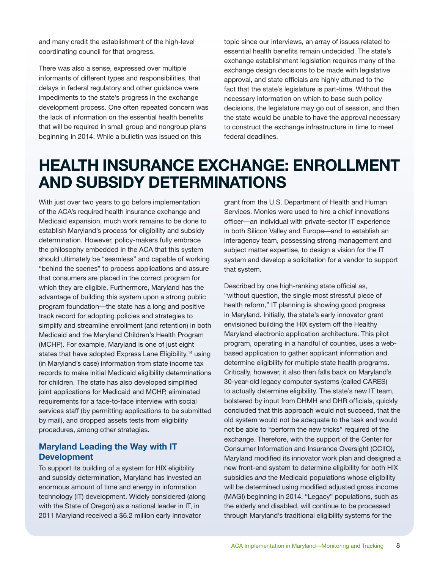and many credit the establishment of the high-level coordinating council for that progress.

There was also a sense, expressed over multiple informants of different types and responsibilities, that delays in federal regulatory and other guidance were impediments to the state's progress in the exchange development process. One often repeated concern was the lack of information on the essential health benefits that will be required in small group and nongroup plans beginning in 2014. While a bulletin was issued on this

topic since our interviews, an array of issues related to essential health benefits remain undecided. The state's exchange establishment legislation requires many of the exchange design decisions to be made with legislative approval, and state officials are highly attuned to the fact that the state's legislature is part-time. Without the necessary information on which to base such policy decisions, the legislature may go out of session, and then the state would be unable to have the approval necessary to construct the exchange infrastructure in time to meet federal deadlines.

## **HEALTH INSURANCE EXCHANGE: ENROLLMENT AND SUBSIDY DETERMINATIONS**

With just over two years to go before implementation of the ACA's required health insurance exchange and Medicaid expansion, much work remains to be done to establish Maryland's process for eligibility and subsidy determination. However, policy-makers fully embrace the philosophy embedded in the ACA that this system should ultimately be "seamless" and capable of working "behind the scenes" to process applications and assure that consumers are placed in the correct program for which they are eligible. Furthermore, Maryland has the advantage of building this system upon a strong public program foundation—the state has a long and positive track record for adopting policies and strategies to simplify and streamline enrollment (and retention) in both Medicaid and the Maryland Children's Health Program (MCHP). For example, Maryland is one of just eight states that have adopted Express Lane Eligibility,<sup>14</sup> using (in Maryland's case) information from state income tax records to make initial Medicaid eligibility determinations for children. The state has also developed simplified joint applications for Medicaid and MCHP, eliminated requirements for a face-to-face interview with social services staff (by permitting applications to be submitted by mail), and dropped assets tests from eligibility procedures, among other strategies.

### **Maryland Leading the Way with IT Development**

To support its building of a system for HIX eligibility and subsidy determination, Maryland has invested an enormous amount of time and energy in information technology (IT) development. Widely considered (along with the State of Oregon) as a national leader in IT, in 2011 Maryland received a \$6.2 million early innovator

grant from the U.S. Department of Health and Human Services. Monies were used to hire a chief innovations officer—an individual with private-sector IT experience in both Silicon Valley and Europe—and to establish an interagency team, possessing strong management and subject matter expertise, to design a vision for the IT system and develop a solicitation for a vendor to support that system.

Described by one high-ranking state official as, "without question, the single most stressful piece of health reform," IT planning is showing good progress in Maryland. Initially, the state's early innovator grant envisioned building the HIX system off the Healthy Maryland electronic application architecture. This pilot program, operating in a handful of counties, uses a webbased application to gather applicant information and determine eligibility for multiple state health programs. Critically, however, it also then falls back on Maryland's 30-year-old legacy computer systems (called CARES) to actually determine eligibility. The state's new IT team, bolstered by input from DHMH and DHR officials, quickly concluded that this approach would not succeed, that the old system would not be adequate to the task and would not be able to "perform the new tricks" required of the exchange. Therefore, with the support of the Center for Consumer Information and Insurance Oversight (CCIIO), Maryland modified its innovator work plan and designed a new front-end system to determine eligibility for both HIX subsidies *and* the Medicaid populations whose eligibility will be determined using modified adjusted gross income (MAGI) beginning in 2014. "Legacy" populations, such as the elderly and disabled, will continue to be processed through Maryland's traditional eligibility systems for the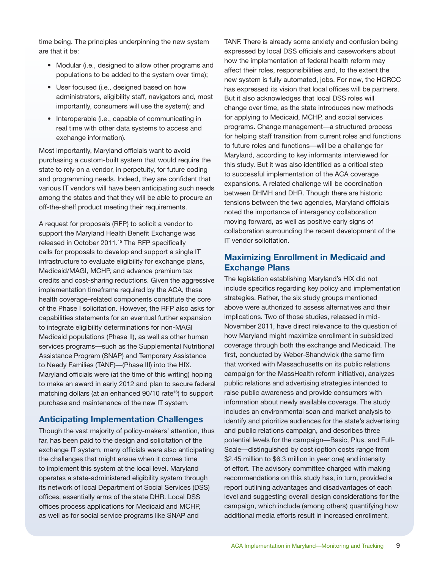time being. The principles underpinning the new system are that it be:

- Modular (i.e., designed to allow other programs and populations to be added to the system over time);
- User focused (i.e., designed based on how administrators, eligibility staff, navigators and, most importantly, consumers will use the system); and
- Interoperable (i.e., capable of communicating in real time with other data systems to access and exchange information).

Most importantly, Maryland officials want to avoid purchasing a custom-built system that would require the state to rely on a vendor, in perpetuity, for future coding and programming needs. Indeed, they are confident that various IT vendors will have been anticipating such needs among the states and that they will be able to procure an off-the-shelf product meeting their requirements.

A request for proposals (RFP) to solicit a vendor to support the Maryland Health Benefit Exchange was released in October 2011.<sup>15</sup> The RFP specifically calls for proposals to develop and support a single IT infrastructure to evaluate eligibility for exchange plans, Medicaid/MAGI, MCHP, and advance premium tax credits and cost-sharing reductions. Given the aggressive implementation timeframe required by the ACA, these health coverage–related components constitute the core of the Phase I solicitation. However, the RFP also asks for capabilities statements for an eventual further expansion to integrate eligibility determinations for non-MAGI Medicaid populations (Phase II), as well as other human services programs—such as the Supplemental Nutritional Assistance Program (SNAP) and Temporary Assistance to Needy Families (TANF)—(Phase III) into the HIX. Maryland officials were (at the time of this writing) hoping to make an award in early 2012 and plan to secure federal matching dollars (at an enhanced 90/10 rate<sup>16</sup>) to support purchase and maintenance of the new IT system.

### **Anticipating Implementation Challenges**

Though the vast majority of policy-makers' attention, thus far, has been paid to the design and solicitation of the exchange IT system, many officials were also anticipating the challenges that might ensue when it comes time to implement this system at the local level. Maryland operates a state-administered eligibility system through its network of local Department of Social Services (DSS) offices, essentially arms of the state DHR. Local DSS offices process applications for Medicaid and MCHP, as well as for social service programs like SNAP and

TANF. There is already some anxiety and confusion being expressed by local DSS officials and caseworkers about how the implementation of federal health reform may affect their roles, responsibilities and, to the extent the new system is fully automated, jobs. For now, the HCRCC has expressed its vision that local offices will be partners. But it also acknowledges that local DSS roles will change over time, as the state introduces new methods for applying to Medicaid, MCHP, and social services programs. Change management—a structured process for helping staff transition from current roles and functions to future roles and functions—will be a challenge for Maryland, according to key informants interviewed for this study. But it was also identified as a critical step to successful implementation of the ACA coverage expansions. A related challenge will be coordination between DHMH and DHR. Though there are historic tensions between the two agencies, Maryland officials noted the importance of interagency collaboration moving forward, as well as positive early signs of collaboration surrounding the recent development of the IT vendor solicitation.

### **Maximizing Enrollment in Medicaid and Exchange Plans**

The legislation establishing Maryland's HIX did not include specifics regarding key policy and implementation strategies. Rather, the six study groups mentioned above were authorized to assess alternatives and their implications. Two of those studies, released in mid-November 2011, have direct relevance to the question of how Maryland might maximize enrollment in subsidized coverage through both the exchange and Medicaid. The first, conducted by Weber-Shandwick (the same firm that worked with Massachusetts on its public relations campaign for the MassHealth reform initiative), analyzes public relations and advertising strategies intended to raise public awareness and provide consumers with information about newly available coverage. The study includes an environmental scan and market analysis to identify and prioritize audiences for the state's advertising and public relations campaign, and describes three potential levels for the campaign—Basic, Plus, and Full-Scale—distinguished by cost (option costs range from \$2.45 million to \$6.3 million in year one) and intensity of effort. The advisory committee charged with making recommendations on this study has, in turn, provided a report outlining advantages and disadvantages of each level and suggesting overall design considerations for the campaign, which include (among others) quantifying how additional media efforts result in increased enrollment,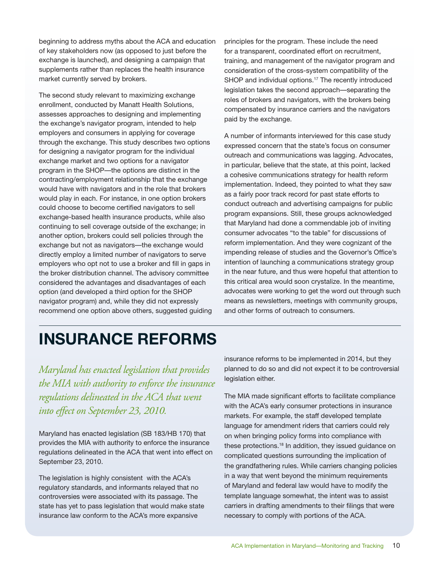beginning to address myths about the ACA and education of key stakeholders now (as opposed to just before the exchange is launched), and designing a campaign that supplements rather than replaces the health insurance market currently served by brokers.

The second study relevant to maximizing exchange enrollment, conducted by Manatt Health Solutions, assesses approaches to designing and implementing the exchange's navigator program, intended to help employers and consumers in applying for coverage through the exchange. This study describes two options for designing a navigator program for the individual exchange market and two options for a navigator program in the SHOP—the options are distinct in the contracting/employment relationship that the exchange would have with navigators and in the role that brokers would play in each. For instance, in one option brokers could choose to become certified navigators to sell exchange-based health insurance products, while also continuing to sell coverage outside of the exchange; in another option, brokers could sell policies through the exchange but not as navigators—the exchange would directly employ a limited number of navigators to serve employers who opt not to use a broker and fill in gaps in the broker distribution channel. The advisory committee considered the advantages and disadvantages of each option (and developed a third option for the SHOP navigator program) and, while they did not expressly recommend one option above others, suggested guiding principles for the program. These include the need for a transparent, coordinated effort on recruitment, training, and management of the navigator program and consideration of the cross-system compatibility of the SHOP and individual options.<sup>17</sup> The recently introduced legislation takes the second approach—separating the roles of brokers and navigators, with the brokers being compensated by insurance carriers and the navigators paid by the exchange.

A number of informants interviewed for this case study expressed concern that the state's focus on consumer outreach and communications was lagging. Advocates, in particular, believe that the state, at this point, lacked a cohesive communications strategy for health reform implementation. Indeed, they pointed to what they saw as a fairly poor track record for past state efforts to conduct outreach and advertising campaigns for public program expansions. Still, these groups acknowledged that Maryland had done a commendable job of inviting consumer advocates "to the table" for discussions of reform implementation. And they were cognizant of the impending release of studies and the Governor's Office's intention of launching a communications strategy group in the near future, and thus were hopeful that attention to this critical area would soon crystalize. In the meantime, advocates were working to get the word out through such means as newsletters, meetings with community groups, and other forms of outreach to consumers.

# **INSURANCE REFORMS**

*Maryland has enacted legislation that provides the MIA with authority to enforce the insurance regulations delineated in the ACA that went into effect on September 23, 2010.* 

Maryland has enacted legislation (SB 183/HB 170) that provides the MIA with authority to enforce the insurance regulations delineated in the ACA that went into effect on September 23, 2010.

The legislation is highly consistent with the ACA's regulatory standards, and informants relayed that no controversies were associated with its passage. The state has yet to pass legislation that would make state insurance law conform to the ACA's more expansive

insurance reforms to be implemented in 2014, but they planned to do so and did not expect it to be controversial legislation either.

The MIA made significant efforts to facilitate compliance with the ACA's early consumer protections in insurance markets. For example, the staff developed template language for amendment riders that carriers could rely on when bringing policy forms into compliance with these protections.<sup>18</sup> In addition, they issued guidance on complicated questions surrounding the implication of the grandfathering rules. While carriers changing policies in a way that went beyond the minimum requirements of Maryland and federal law would have to modify the template language somewhat, the intent was to assist carriers in drafting amendments to their filings that were necessary to comply with portions of the ACA.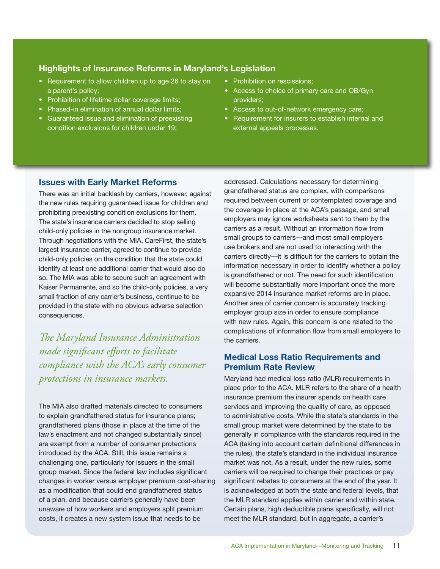### **Highlights of Insurance Reforms in Maryland's Legislation**

- Requirement to allow children up to age 26 to stay on a parent's policy;
- Prohibition of lifetime dollar coverage limits;
- Phased-in elimination of annual dollar limits;
- Guaranteed issue and elimination of preexisting condition exclusions for children under 19;
- Prohibition on rescissions;
- Access to choice of primary care and OB/Gyn providers;
- Access to out-of-network emergency care;
- Requirement for insurers to establish internal and external appeals processes.

### **Issues with Early Market Reforms**

There was an initial backlash by carriers, however, against the new rules requiring guaranteed issue for children and prohibiting preexisting condition exclusions for them. The state's insurance carriers decided to stop selling child-only policies in the nongroup insurance market. Through negotiations with the MIA, CareFirst, the state's largest insurance carrier, agreed to continue to provide child-only policies on the condition that the state could identify at least one additional carrier that would also do so. The MIA was able to secure such an agreement with Kaiser Permanente, and so the child-only policies, a very small fraction of any carrier's business, continue to be provided in the state with no obvious adverse selection consequences.

*The Maryland Insurance Administration made significant efforts to facilitate compliance with the ACA's early consumer protections in insurance markets.*

The MIA also drafted materials directed to consumers to explain grandfathered status for insurance plans; grandfathered plans (those in place at the time of the law's enactment and not changed substantially since) are exempt from a number of consumer protections introduced by the ACA. Still, this issue remains a challenging one, particularly for issuers in the small group market. Since the federal law includes significant changes in worker versus employer premium cost-sharing as a modification that could end grandfathered status of a plan, and because carriers generally have been unaware of how workers and employers split premium costs, it creates a new system issue that needs to be

addressed. Calculations necessary for determining grandfathered status are complex, with comparisons required between current or contemplated coverage and the coverage in place at the ACA's passage, and small employers may ignore worksheets sent to them by the carriers as a result. Without an information flow from small groups to carriers—and most small employers use brokers and are not used to interacting with the carriers directly—it is difficult for the carriers to obtain the information necessary in order to identify whether a policy is grandfathered or not. The need for such identification will become substantially more important once the more expansive 2014 insurance market reforms are in place. Another area of carrier concern is accurately tracking employer group size in order to ensure compliance with new rules. Again, this concern is one related to the complications of information flow from small employers to the carriers.

### **Medical Loss Ratio Requirements and Premium Rate Review**

Maryland had medical loss ratio (MLR) requirements in place prior to the ACA. MLR refers to the share of a health insurance premium the insurer spends on health care services and improving the quality of care, as opposed to administrative costs. While the state's standards in the small group market were determined by the state to be generally in compliance with the standards required in the ACA (taking into account certain definitional differences in the rules), the state's standard in the individual insurance market was not. As a result, under the new rules, some carriers will be required to change their practices or pay significant rebates to consumers at the end of the year. It is acknowledged at both the state and federal levels, that the MLR standard applies within carrier and within state. Certain plans, high deductible plans specifically, will not meet the MLR standard, but in aggregate, a carrier's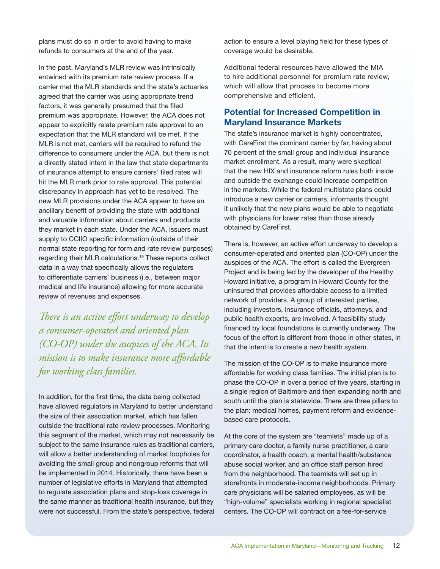plans must do so in order to avoid having to make refunds to consumers at the end of the year.

In the past, Maryland's MLR review was intrinsically entwined with its premium rate review process. If a carrier met the MLR standards and the state's actuaries agreed that the carrier was using appropriate trend factors, it was generally presumed that the filed premium was appropriate. However, the ACA does not appear to explicitly relate premium rate approval to an expectation that the MLR standard will be met. If the MLR is not met, carriers will be required to refund the difference to consumers under the ACA, but there is not a directly stated intent in the law that state departments of insurance attempt to ensure carriers' filed rates will hit the MLR mark prior to rate approval. This potential discrepancy in approach has yet to be resolved. The new MLR provisions under the ACA appear to have an ancillary benefit of providing the state with additional and valuable information about carriers and products they market in each state. Under the ACA, issuers must supply to CCIIO specific information (outside of their normal state reporting for form and rate review purposes) regarding their MLR calculations.19 These reports collect data in a way that specifically allows the regulators to differentiate carriers' business (i.e., between major medical and life insurance) allowing for more accurate review of revenues and expenses.

*There is an active effort underway to develop a consumer-operated and oriented plan (CO-OP) under the auspices of the ACA. Its mission is to make insurance more affordable for working class families.*

In addition, for the first time, the data being collected have allowed regulators in Maryland to better understand the size of their association market, which has fallen outside the traditional rate review processes. Monitoring this segment of the market, which may not necessarily be subject to the same insurance rules as traditional carriers, will allow a better understanding of market loopholes for avoiding the small group and nongroup reforms that will be implemented in 2014. Historically, there have been a number of legislative efforts in Maryland that attempted to regulate association plans and stop-loss coverage in the same manner as traditional health insurance, but they were not successful. From the state's perspective, federal

action to ensure a level playing field for these types of coverage would be desirable.

Additional federal resources have allowed the MIA to hire additional personnel for premium rate review, which will allow that process to become more comprehensive and efficient.

### **Potential for Increased Competition in Maryland Insurance Markets**

The state's insurance market is highly concentrated, with CareFirst the dominant carrier by far, having about 70 percent of the small group and individual insurance market enrollment. As a result, many were skeptical that the new HIX and insurance reform rules both inside and outside the exchange could increase competition in the markets. While the federal multistate plans could introduce a new carrier or carriers, informants thought it unlikely that the new plans would be able to negotiate with physicians for lower rates than those already obtained by CareFirst.

There is, however, an active effort underway to develop a consumer-operated and oriented plan (CO-OP) under the auspices of the ACA. The effort is called the Evergreen Project and is being led by the developer of the Healthy Howard initiative, a program in Howard County for the uninsured that provides affordable access to a limited network of providers. A group of interested parties, including investors, insurance officials, attorneys, and public health experts, are involved. A feasibility study financed by local foundations is currently underway. The focus of the effort is different from those in other states, in that the intent is to create a new health system.

The mission of the CO-OP is to make insurance more affordable for working class families. The initial plan is to phase the CO-OP in over a period of five years, starting in a single region of Baltimore and then expanding north and south until the plan is statewide. There are three pillars to the plan: medical homes, payment reform and evidencebased care protocols.

At the core of the system are "teamlets" made up of a primary care doctor, a family nurse practitioner, a care coordinator, a health coach, a mental health/substance abuse social worker, and an office staff person hired from the neighborhood. The teamlets will set up in storefronts in moderate-income neighborhoods. Primary care physicians will be salaried employees, as will be "high-volume" specialists working in regional specialist centers. The CO-OP will contract on a fee-for-service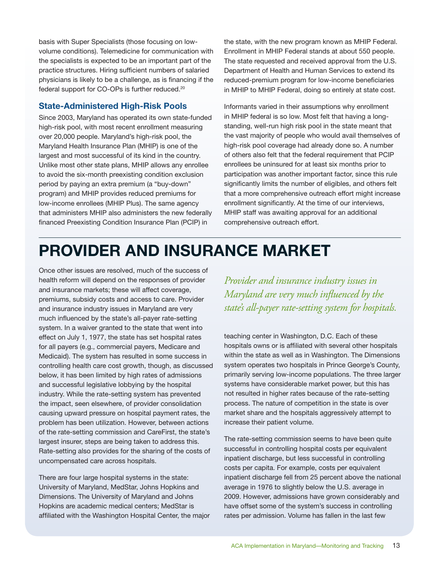basis with Super Specialists (those focusing on lowvolume conditions). Telemedicine for communication with the specialists is expected to be an important part of the practice structures. Hiring sufficient numbers of salaried physicians is likely to be a challenge, as is financing if the federal support for CO-OPs is further reduced.20

### **State-Administered High-Risk Pools**

Since 2003, Maryland has operated its own state-funded high-risk pool, with most recent enrollment measuring over 20,000 people. Maryland's high-risk pool, the Maryland Health Insurance Plan (MHIP) is one of the largest and most successful of its kind in the country. Unlike most other state plans, MHIP allows any enrollee to avoid the six-month preexisting condition exclusion period by paying an extra premium (a "buy-down" program) and MHIP provides reduced premiums for low-income enrollees (MHIP Plus). The same agency that administers MHIP also administers the new federally financed Preexisting Condition Insurance Plan (PCIP) in

the state, with the new program known as MHIP Federal. Enrollment in MHIP Federal stands at about 550 people. The state requested and received approval from the U.S. Department of Health and Human Services to extend its reduced-premium program for low-income beneficiaries in MHIP to MHIP Federal, doing so entirely at state cost.

Informants varied in their assumptions why enrollment in MHIP federal is so low. Most felt that having a longstanding, well-run high risk pool in the state meant that the vast majority of people who would avail themselves of high-risk pool coverage had already done so. A number of others also felt that the federal requirement that PCIP enrollees be uninsured for at least six months prior to participation was another important factor, since this rule significantly limits the number of eligibles, and others felt that a more comprehensive outreach effort might increase enrollment significantly. At the time of our interviews, MHIP staff was awaiting approval for an additional comprehensive outreach effort.

# **PROVIDER AND INSURANCE MARKET**

Once other issues are resolved, much of the success of health reform will depend on the responses of provider and insurance markets; these will affect coverage, premiums, subsidy costs and access to care. Provider and insurance industry issues in Maryland are very much influenced by the state's all-payer rate-setting system. In a waiver granted to the state that went into effect on July 1, 1977, the state has set hospital rates for all payers (e.g., commercial payers, Medicare and Medicaid). The system has resulted in some success in controlling health care cost growth, though, as discussed below, it has been limited by high rates of admissions and successful legislative lobbying by the hospital industry. While the rate-setting system has prevented the impact, seen elsewhere, of provider consolidation causing upward pressure on hospital payment rates, the problem has been utilization. However, between actions of the rate-setting commission and CareFirst, the state's largest insurer, steps are being taken to address this. Rate-setting also provides for the sharing of the costs of uncompensated care across hospitals.

There are four large hospital systems in the state: University of Maryland, MedStar, Johns Hopkins and Dimensions. The University of Maryland and Johns Hopkins are academic medical centers; MedStar is affiliated with the Washington Hospital Center, the major

*Provider and insurance industry issues in Maryland are very much influenced by the state's all-payer rate-setting system for hospitals.*

teaching center in Washington, D.C. Each of these hospitals owns or is affiliated with several other hospitals within the state as well as in Washington. The Dimensions system operates two hospitals in Prince George's County, primarily serving low-income populations. The three larger systems have considerable market power, but this has not resulted in higher rates because of the rate-setting process. The nature of competition in the state is over market share and the hospitals aggressively attempt to increase their patient volume.

The rate-setting commission seems to have been quite successful in controlling hospital costs per equivalent inpatient discharge, but less successful in controlling costs per capita. For example, costs per equivalent inpatient discharge fell from 25 percent above the national average in 1976 to slightly below the U.S. average in 2009. However, admissions have grown considerably and have offset some of the system's success in controlling rates per admission. Volume has fallen in the last few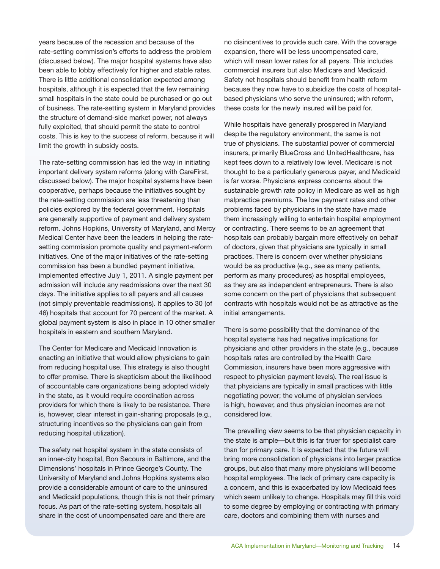years because of the recession and because of the rate-setting commission's efforts to address the problem (discussed below). The major hospital systems have also been able to lobby effectively for higher and stable rates. There is little additional consolidation expected among hospitals, although it is expected that the few remaining small hospitals in the state could be purchased or go out of business. The rate-setting system in Maryland provides the structure of demand-side market power, not always fully exploited, that should permit the state to control costs. This is key to the success of reform, because it will limit the growth in subsidy costs.

The rate-setting commission has led the way in initiating important delivery system reforms (along with CareFirst, discussed below). The major hospital systems have been cooperative, perhaps because the initiatives sought by the rate-setting commission are less threatening than policies explored by the federal government. Hospitals are generally supportive of payment and delivery system reform. Johns Hopkins, University of Maryland, and Mercy Medical Center have been the leaders in helping the ratesetting commission promote quality and payment-reform initiatives. One of the major initiatives of the rate-setting commission has been a bundled payment initiative, implemented effective July 1, 2011. A single payment per admission will include any readmissions over the next 30 days. The initiative applies to all payers and all causes (not simply preventable readmissions). It applies to 30 (of 46) hospitals that account for 70 percent of the market. A global payment system is also in place in 10 other smaller hospitals in eastern and southern Maryland.

The Center for Medicare and Medicaid Innovation is enacting an initiative that would allow physicians to gain from reducing hospital use. This strategy is also thought to offer promise. There is skepticism about the likelihood of accountable care organizations being adopted widely in the state, as it would require coordination across providers for which there is likely to be resistance. There is, however, clear interest in gain-sharing proposals (e.g., structuring incentives so the physicians can gain from reducing hospital utilization).

The safety net hospital system in the state consists of an inner-city hospital, Bon Secours in Baltimore, and the Dimensions' hospitals in Prince George's County. The University of Maryland and Johns Hopkins systems also provide a considerable amount of care to the uninsured and Medicaid populations, though this is not their primary focus. As part of the rate-setting system, hospitals all share in the cost of uncompensated care and there are

no disincentives to provide such care. With the coverage expansion, there will be less uncompensated care, which will mean lower rates for all payers. This includes commercial insurers but also Medicare and Medicaid. Safety net hospitals should benefit from health reform because they now have to subsidize the costs of hospitalbased physicians who serve the uninsured; with reform, these costs for the newly insured will be paid for.

While hospitals have generally prospered in Maryland despite the regulatory environment, the same is not true of physicians. The substantial power of commercial insurers, primarily BlueCross and UnitedHealthcare, has kept fees down to a relatively low level. Medicare is not thought to be a particularly generous payer, and Medicaid is far worse. Physicians express concerns about the sustainable growth rate policy in Medicare as well as high malpractice premiums. The low payment rates and other problems faced by physicians in the state have made them increasingly willing to entertain hospital employment or contracting. There seems to be an agreement that hospitals can probably bargain more effectively on behalf of doctors, given that physicians are typically in small practices. There is concern over whether physicians would be as productive (e.g., see as many patients, perform as many procedures) as hospital employees, as they are as independent entrepreneurs. There is also some concern on the part of physicians that subsequent contracts with hospitals would not be as attractive as the initial arrangements.

There is some possibility that the dominance of the hospital systems has had negative implications for physicians and other providers in the state (e.g., because hospitals rates are controlled by the Health Care Commission, insurers have been more aggressive with respect to physician payment levels). The real issue is that physicians are typically in small practices with little negotiating power; the volume of physician services is high, however, and thus physician incomes are not considered low.

The prevailing view seems to be that physician capacity in the state is ample—but this is far truer for specialist care than for primary care. It is expected that the future will bring more consolidation of physicians into larger practice groups, but also that many more physicians will become hospital employees. The lack of primary care capacity is a concern, and this is exacerbated by low Medicaid fees which seem unlikely to change. Hospitals may fill this void to some degree by employing or contracting with primary care, doctors and combining them with nurses and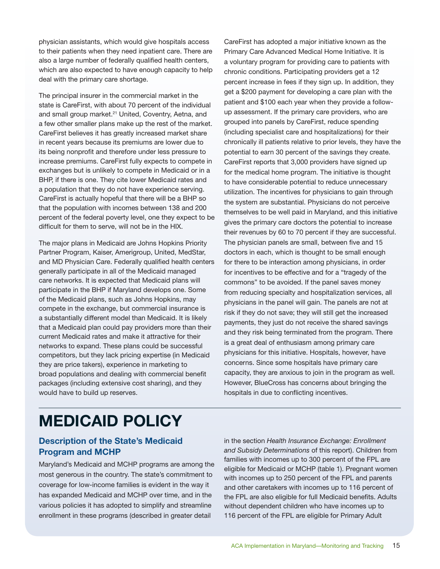physician assistants, which would give hospitals access to their patients when they need inpatient care. There are also a large number of federally qualified health centers, which are also expected to have enough capacity to help deal with the primary care shortage.

The principal insurer in the commercial market in the state is CareFirst, with about 70 percent of the individual and small group market.<sup>21</sup> United, Coventry, Aetna, and a few other smaller plans make up the rest of the market. CareFirst believes it has greatly increased market share in recent years because its premiums are lower due to its being nonprofit and therefore under less pressure to increase premiums. CareFirst fully expects to compete in exchanges but is unlikely to compete in Medicaid or in a BHP, if there is one. They cite lower Medicaid rates and a population that they do not have experience serving. CareFirst is actually hopeful that there will be a BHP so that the population with incomes between 138 and 200 percent of the federal poverty level, one they expect to be difficult for them to serve, will not be in the HIX.

The major plans in Medicaid are Johns Hopkins Priority Partner Program, Kaiser, Amerigroup, United, MedStar, and MD Physician Care. Federally qualified health centers generally participate in all of the Medicaid managed care networks. It is expected that Medicaid plans will participate in the BHP if Maryland develops one. Some of the Medicaid plans, such as Johns Hopkins, may compete in the exchange, but commercial insurance is a substantially different model than Medicaid. It is likely that a Medicaid plan could pay providers more than their current Medicaid rates and make it attractive for their networks to expand. These plans could be successful competitors, but they lack pricing expertise (in Medicaid they are price takers), experience in marketing to broad populations and dealing with commercial benefit packages (including extensive cost sharing), and they would have to build up reserves.

CareFirst has adopted a major initiative known as the Primary Care Advanced Medical Home Initiative. It is a voluntary program for providing care to patients with chronic conditions. Participating providers get a 12 percent increase in fees if they sign up. In addition, they get a \$200 payment for developing a care plan with the patient and \$100 each year when they provide a followup assessment. If the primary care providers, who are grouped into panels by CareFirst, reduce spending (including specialist care and hospitalizations) for their chronically ill patients relative to prior levels, they have the potential to earn 30 percent of the savings they create. CareFirst reports that 3,000 providers have signed up for the medical home program. The initiative is thought to have considerable potential to reduce unnecessary utilization. The incentives for physicians to gain through the system are substantial. Physicians do not perceive themselves to be well paid in Maryland, and this initiative gives the primary care doctors the potential to increase their revenues by 60 to 70 percent if they are successful. The physician panels are small, between five and 15 doctors in each, which is thought to be small enough for there to be interaction among physicians, in order for incentives to be effective and for a "tragedy of the commons" to be avoided. If the panel saves money from reducing specialty and hospitalization services, all physicians in the panel will gain. The panels are not at risk if they do not save; they will still get the increased payments, they just do not receive the shared savings and they risk being terminated from the program. There is a great deal of enthusiasm among primary care physicians for this initiative. Hospitals, however, have concerns. Since some hospitals have primary care capacity, they are anxious to join in the program as well. However, BlueCross has concerns about bringing the hospitals in due to conflicting incentives.

# **MEDICAID POLICY**

### **Description of the State's Medicaid Program and MCHP**

Maryland's Medicaid and MCHP programs are among the most generous in the country. The state's commitment to coverage for low-income families is evident in the way it has expanded Medicaid and MCHP over time, and in the various policies it has adopted to simplify and streamline enrollment in these programs (described in greater detail

in the section *Health Insurance Exchange: Enrollment and Subsidy Determinations* of this report). Children from families with incomes up to 300 percent of the FPL are eligible for Medicaid or MCHP (table 1). Pregnant women with incomes up to 250 percent of the FPL and parents and other caretakers with incomes up to 116 percent of the FPL are also eligible for full Medicaid benefits. Adults without dependent children who have incomes up to 116 percent of the FPL are eligible for Primary Adult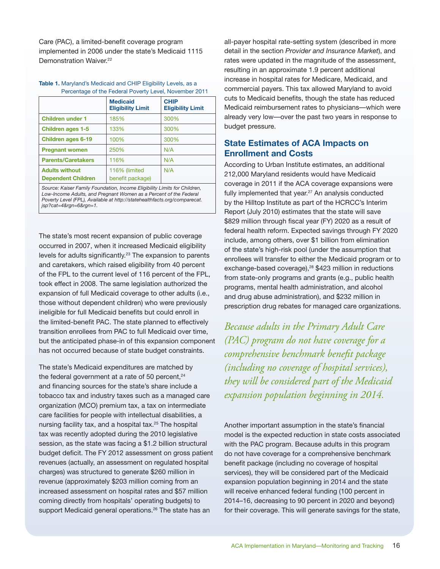Care (PAC), a limited-benefit coverage program implemented in 2006 under the state's Medicaid 1115 Demonstration Waiver.<sup>22</sup>

### **Table 1.** Maryland's Medicaid and CHIP Eligibility Levels, as a Percentage of the Federal Poverty Level, November 2011

|                                                    | <b>Medicaid</b><br><b>Eligibility Limit</b> | <b>CHIP</b><br><b>Eligibility Limit</b> |
|----------------------------------------------------|---------------------------------------------|-----------------------------------------|
| <b>Children under 1</b>                            | 185%                                        | 300%                                    |
| <b>Children ages 1-5</b>                           | 133%                                        | 300%                                    |
| <b>Children ages 6-19</b>                          | 100%                                        | 300%                                    |
| <b>Pregnant women</b>                              | 250%                                        | N/A                                     |
| <b>Parents/Caretakers</b>                          | 116%                                        | N/A                                     |
| <b>Adults without</b><br><b>Dependent Children</b> | 116% (limited<br>benefit package)           | N/A                                     |

*Source: Kaiser Family Foundation, Income Eligibility Limits for Children, Low-Income Adults, and Pregnant Women as a Percent of the Federal Poverty Level (FPL), Available at http://statehealthfacts.org/comparecat. jsp?cat=4&rgn=6&rgn=1.*

The state's most recent expansion of public coverage occurred in 2007, when it increased Medicaid eligibility levels for adults significantly.23 The expansion to parents and caretakers, which raised eligibility from 40 percent of the FPL to the current level of 116 percent of the FPL, took effect in 2008. The same legislation authorized the expansion of full Medicaid coverage to other adults (i.e., those without dependent children) who were previously ineligible for full Medicaid benefits but could enroll in the limited-benefit PAC. The state planned to effectively transition enrollees from PAC to full Medicaid over time, but the anticipated phase-in of this expansion component has not occurred because of state budget constraints.

The state's Medicaid expenditures are matched by the federal government at a rate of 50 percent, $24$ and financing sources for the state's share include a tobacco tax and industry taxes such as a managed care organization (MCO) premium tax, a tax on intermediate care facilities for people with intellectual disabilities, a nursing facility tax, and a hospital tax.25 The hospital tax was recently adopted during the 2010 legislative session, as the state was facing a \$1.2 billion structural budget deficit. The FY 2012 assessment on gross patient revenues (actually, an assessment on regulated hospital charges) was structured to generate \$260 million in revenue (approximately \$203 million coming from an increased assessment on hospital rates and \$57 million coming directly from hospitals' operating budgets) to support Medicaid general operations.<sup>26</sup> The state has an

all-payer hospital rate-setting system (described in more detail in the section *Provider and Insurance Market*), and rates were updated in the magnitude of the assessment, resulting in an approximate 1.9 percent additional increase in hospital rates for Medicare, Medicaid, and commercial payers. This tax allowed Maryland to avoid cuts to Medicaid benefits, though the state has reduced Medicaid reimbursement rates to physicians—which were already very low—over the past two years in response to budget pressure.

### **State Estimates of ACA Impacts on Enrollment and Costs**

According to Urban Institute estimates, an additional 212,000 Maryland residents would have Medicaid coverage in 2011 if the ACA coverage expansions were fully implemented that year.<sup>27</sup> An analysis conducted by the Hilltop Institute as part of the HCRCC's Interim Report (July 2010) estimates that the state will save \$829 million through fiscal year (FY) 2020 as a result of federal health reform. Expected savings through FY 2020 include, among others, over \$1 billion from elimination of the state's high-risk pool (under the assumption that enrollees will transfer to either the Medicaid program or to exchange-based coverage),<sup>28</sup> \$423 million in reductions from state-only programs and grants (e.g., public health programs, mental health administration, and alcohol and drug abuse administration), and \$232 million in prescription drug rebates for managed care organizations.

*Because adults in the Primary Adult Care (PAC) program do not have coverage for a comprehensive benchmark benefit package (including no coverage of hospital services), they will be considered part of the Medicaid expansion population beginning in 2014.*

Another important assumption in the state's financial model is the expected reduction in state costs associated with the PAC program. Because adults in this program do not have coverage for a comprehensive benchmark benefit package (including no coverage of hospital services), they will be considered part of the Medicaid expansion population beginning in 2014 and the state will receive enhanced federal funding (100 percent in 2014–16, decreasing to 90 percent in 2020 and beyond) for their coverage. This will generate savings for the state,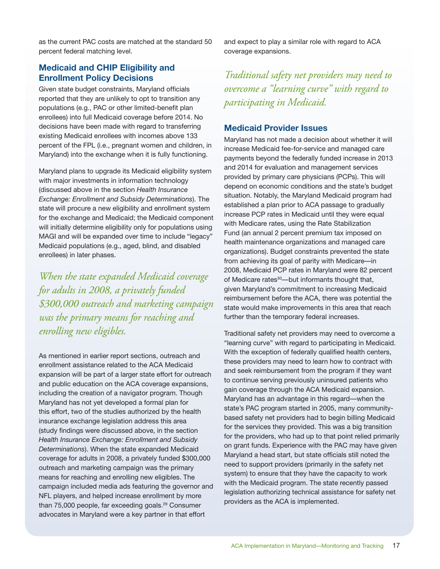as the current PAC costs are matched at the standard 50 percent federal matching level.

and expect to play a similar role with regard to ACA coverage expansions.

### **Medicaid and CHIP Eligibility and Enrollment Policy Decisions**

Given state budget constraints, Maryland officials reported that they are unlikely to opt to transition any populations (e.g., PAC or other limited-benefit plan enrollees) into full Medicaid coverage before 2014. No decisions have been made with regard to transferring existing Medicaid enrollees with incomes above 133 percent of the FPL (i.e., pregnant women and children, in Maryland) into the exchange when it is fully functioning.

Maryland plans to upgrade its Medicaid eligibility system with major investments in information technology (discussed above in the section *Health Insurance Exchange: Enrollment and Subsidy Determinations*). The state will procure a new eligibility and enrollment system for the exchange and Medicaid; the Medicaid component will initially determine eligibility only for populations using MAGI and will be expanded over time to include "legacy" Medicaid populations (e.g., aged, blind, and disabled enrollees) in later phases.

*When the state expanded Medicaid coverage for adults in 2008, a privately funded \$300,000 outreach and marketing campaign was the primary means for reaching and enrolling new eligibles.*

As mentioned in earlier report sections, outreach and enrollment assistance related to the ACA Medicaid expansion will be part of a larger state effort for outreach and public education on the ACA coverage expansions, including the creation of a navigator program. Though Maryland has not yet developed a formal plan for this effort, two of the studies authorized by the health insurance exchange legislation address this area (study findings were discussed above, in the section *Health Insurance Exchange: Enrollment and Subsidy Determinations*). When the state expanded Medicaid coverage for adults in 2008, a privately funded \$300,000 outreach and marketing campaign was the primary means for reaching and enrolling new eligibles. The campaign included media ads featuring the governor and NFL players, and helped increase enrollment by more than 75,000 people, far exceeding goals.<sup>29</sup> Consumer advocates in Maryland were a key partner in that effort

*Traditional safety net providers may need to overcome a "learning curve" with regard to participating in Medicaid.*

### **Medicaid Provider Issues**

Maryland has not made a decision about whether it will increase Medicaid fee-for-service and managed care payments beyond the federally funded increase in 2013 and 2014 for evaluation and management services provided by primary care physicians (PCPs). This will depend on economic conditions and the state's budget situation. Notably, the Maryland Medicaid program had established a plan prior to ACA passage to gradually increase PCP rates in Medicaid until they were equal with Medicare rates, using the Rate Stabilization Fund (an annual 2 percent premium tax imposed on health maintenance organizations and managed care organizations). Budget constraints prevented the state from achieving its goal of parity with Medicare—in 2008, Medicaid PCP rates in Maryland were 82 percent of Medicare rates<sup>30</sup>—but informants thought that, given Maryland's commitment to increasing Medicaid reimbursement before the ACA, there was potential the state would make improvements in this area that reach further than the temporary federal increases.

Traditional safety net providers may need to overcome a "learning curve" with regard to participating in Medicaid. With the exception of federally qualified health centers, these providers may need to learn how to contract with and seek reimbursement from the program if they want to continue serving previously uninsured patients who gain coverage through the ACA Medicaid expansion. Maryland has an advantage in this regard—when the state's PAC program started in 2005, many communitybased safety net providers had to begin billing Medicaid for the services they provided. This was a big transition for the providers, who had up to that point relied primarily on grant funds. Experience with the PAC may have given Maryland a head start, but state officials still noted the need to support providers (primarily in the safety net system) to ensure that they have the capacity to work with the Medicaid program. The state recently passed legislation authorizing technical assistance for safety net providers as the ACA is implemented.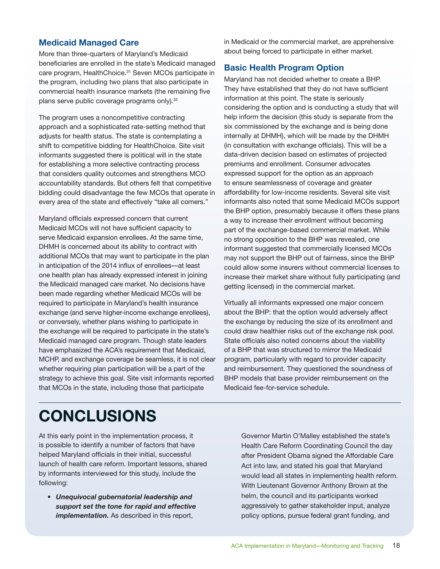### **Medicaid Managed Care**

More than three-quarters of Maryland's Medicaid beneficiaries are enrolled in the state's Medicaid managed care program, HealthChoice.31 Seven MCOs participate in the program, including two plans that also participate in commercial health insurance markets (the remaining five plans serve public coverage programs only).<sup>32</sup>

The program uses a noncompetitive contracting approach and a sophisticated rate-setting method that adjusts for health status. The state is contemplating a shift to competitive bidding for HealthChoice. Site visit informants suggested there is political will in the state for establishing a more selective contracting process that considers quality outcomes and strengthens MCO accountability standards. But others felt that competitive bidding could disadvantage the few MCOs that operate in every area of the state and effectively "take all comers."

Maryland officials expressed concern that current Medicaid MCOs will not have sufficient capacity to serve Medicaid expansion enrollees. At the same time, DHMH is concerned about its ability to contract with additional MCOs that may want to participate in the plan in anticipation of the 2014 influx of enrollees—at least one health plan has already expressed interest in joining the Medicaid managed care market. No decisions have been made regarding whether Medicaid MCOs will be required to participate in Maryland's health insurance exchange (and serve higher-income exchange enrollees), or conversely, whether plans wishing to participate in the exchange will be required to participate in the state's Medicaid managed care program. Though state leaders have emphasized the ACA's requirement that Medicaid, MCHP, and exchange coverage be seamless, it is not clear whether requiring plan participation will be a part of the strategy to achieve this goal. Site visit informants reported that MCOs in the state, including those that participate

in Medicaid or the commercial market, are apprehensive about being forced to participate in either market.

### **Basic Health Program Option**

Maryland has not decided whether to create a BHP. They have established that they do not have sufficient information at this point. The state is seriously considering the option and is conducting a study that will help inform the decision (this study is separate from the six commissioned by the exchange and is being done internally at DHMH), which will be made by the DHMH (in consultation with exchange officials). This will be a data-driven decision based on estimates of projected premiums and enrollment. Consumer advocates expressed support for the option as an approach to ensure seamlessness of coverage and greater affordability for low-income residents. Several site visit informants also noted that some Medicaid MCOs support the BHP option, presumably because it offers these plans a way to increase their enrollment without becoming part of the exchange-based commercial market. While no strong opposition to the BHP was revealed, one informant suggested that commercially licensed MCOs may not support the BHP out of fairness, since the BHP could allow some insurers without commercial licenses to increase their market share without fully participating (and getting licensed) in the commercial market.

Virtually all informants expressed one major concern about the BHP: that the option would adversely affect the exchange by reducing the size of its enrollment and could draw healthier risks out of the exchange risk pool. State officials also noted concerns about the viability of a BHP that was structured to mirror the Medicaid program, particularly with regard to provider capacity and reimbursement. They questioned the soundness of BHP models that base provider reimbursement on the Medicaid fee-for-service schedule.

# **CONCLUSIONS**

At this early point in the implementation process, it is possible to identify a number of factors that have helped Maryland officials in their initial, successful launch of health care reform. Important lessons, shared by informants interviewed for this study, include the following:

*• Unequivocal gubernatorial leadership and support set the tone for rapid and effective implementation.* As described in this report,

Governor Martin O'Malley established the state's Health Care Reform Coordinating Council the day after President Obama signed the Affordable Care Act into law, and stated his goal that Maryland would lead all states in implementing health reform. With Lieutenant Governor Anthony Brown at the helm, the council and its participants worked aggressively to gather stakeholder input, analyze policy options, pursue federal grant funding, and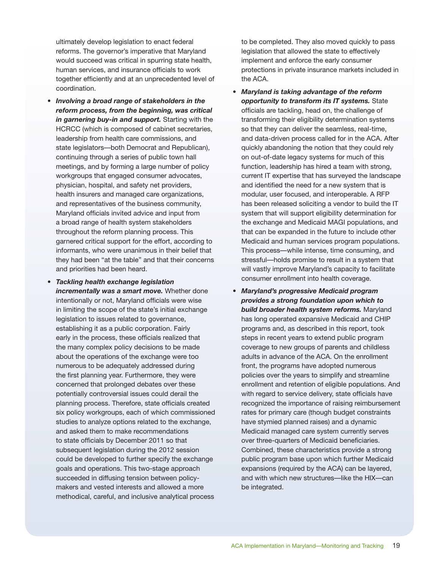ultimately develop legislation to enact federal reforms. The governor's imperative that Maryland would succeed was critical in spurring state health, human services, and insurance officials to work together efficiently and at an unprecedented level of coordination.

- *• Involving a broad range of stakeholders in the reform process, from the beginning, was critical in garnering buy-in and support.* Starting with the HCRCC (which is composed of cabinet secretaries, leadership from health care commissions, and state legislators—both Democrat and Republican), continuing through a series of public town hall meetings, and by forming a large number of policy workgroups that engaged consumer advocates, physician, hospital, and safety net providers, health insurers and managed care organizations, and representatives of the business community, Maryland officials invited advice and input from a broad range of health system stakeholders throughout the reform planning process. This garnered critical support for the effort, according to informants, who were unanimous in their belief that they had been "at the table" and that their concerns and priorities had been heard.
- *• Tackling health exchange legislation incrementally was a smart move.* Whether done intentionally or not, Maryland officials were wise in limiting the scope of the state's initial exchange legislation to issues related to governance, establishing it as a public corporation. Fairly early in the process, these officials realized that the many complex policy decisions to be made about the operations of the exchange were too numerous to be adequately addressed during the first planning year. Furthermore, they were concerned that prolonged debates over these potentially controversial issues could derail the planning process. Therefore, state officials created six policy workgroups, each of which commissioned studies to analyze options related to the exchange, and asked them to make recommendations to state officials by December 2011 so that subsequent legislation during the 2012 session could be developed to further specify the exchange goals and operations. This two-stage approach succeeded in diffusing tension between policymakers and vested interests and allowed a more methodical, careful, and inclusive analytical process

to be completed. They also moved quickly to pass legislation that allowed the state to effectively implement and enforce the early consumer protections in private insurance markets included in the ACA.

- *• Maryland is taking advantage of the reform opportunity to transform its IT systems.* State officials are tackling, head on, the challenge of transforming their eligibility determination systems so that they can deliver the seamless, real-time, and data-driven process called for in the ACA. After quickly abandoning the notion that they could rely on out-of-date legacy systems for much of this function, leadership has hired a team with strong, current IT expertise that has surveyed the landscape and identified the need for a new system that is modular, user focused, and interoperable. A RFP has been released soliciting a vendor to build the IT system that will support eligibility determination for the exchange and Medicaid MAGI populations, and that can be expanded in the future to include other Medicaid and human services program populations. This process—while intense, time consuming, and stressful—holds promise to result in a system that will vastly improve Maryland's capacity to facilitate consumer enrollment into health coverage.
- *• Maryland's progressive Medicaid program provides a strong foundation upon which to build broader health system reforms.* Maryland has long operated expansive Medicaid and CHIP programs and, as described in this report, took steps in recent years to extend public program coverage to new groups of parents and childless adults in advance of the ACA. On the enrollment front, the programs have adopted numerous policies over the years to simplify and streamline enrollment and retention of eligible populations. And with regard to service delivery, state officials have recognized the importance of raising reimbursement rates for primary care (though budget constraints have stymied planned raises) and a dynamic Medicaid managed care system currently serves over three-quarters of Medicaid beneficiaries. Combined, these characteristics provide a strong public program base upon which further Medicaid expansions (required by the ACA) can be layered, and with which new structures—like the HIX—can be integrated.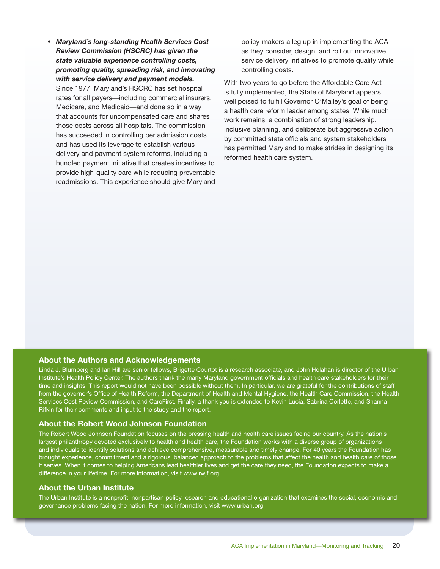*• Maryland's long-standing Health Services Cost Review Commission (HSCRC) has given the state valuable experience controlling costs, promoting quality, spreading risk, and innovating with service delivery and payment models.* Since 1977, Maryland's HSCRC has set hospital rates for all payers—including commercial insurers, Medicare, and Medicaid—and done so in a way that accounts for uncompensated care and shares those costs across all hospitals. The commission has succeeded in controlling per admission costs and has used its leverage to establish various delivery and payment system reforms, including a bundled payment initiative that creates incentives to provide high-quality care while reducing preventable readmissions. This experience should give Maryland policy-makers a leg up in implementing the ACA as they consider, design, and roll out innovative service delivery initiatives to promote quality while controlling costs.

With two years to go before the Affordable Care Act is fully implemented, the State of Maryland appears well poised to fulfill Governor O'Malley's goal of being a health care reform leader among states. While much work remains, a combination of strong leadership, inclusive planning, and deliberate but aggressive action by committed state officials and system stakeholders has permitted Maryland to make strides in designing its reformed health care system.

### **About the Authors and Acknowledgements**

Linda J. Blumberg and Ian Hill are senior fellows, Brigette Courtot is a research associate, and John Holahan is director of the Urban Institute's Health Policy Center. The authors thank the many Maryland government officials and health care stakeholders for their time and insights. This report would not have been possible without them. In particular, we are grateful for the contributions of staff from the governor's Office of Health Reform, the Department of Health and Mental Hygiene, the Health Care Commission, the Health Services Cost Review Commission, and CareFirst. Finally, a thank you is extended to Kevin Lucia, Sabrina Corlette, and Shanna Rifkin for their comments and input to the study and the report.

### **About the Robert Wood Johnson Foundation**

The Robert Wood Johnson Foundation focuses on the pressing health and health care issues facing our country. As the nation's largest philanthropy devoted exclusively to health and health care, the Foundation works with a diverse group of organizations and individuals to identify solutions and achieve comprehensive, measurable and timely change. For 40 years the Foundation has brought experience, commitment and a rigorous, balanced approach to the problems that affect the health and health care of those it serves. When it comes to helping Americans lead healthier lives and get the care they need, the Foundation expects to make a difference in your lifetime. For more information, visit www.rwjf.org.

### **About the Urban Institute**

The Urban Institute is a nonprofit, nonpartisan policy research and educational organization that examines the social, economic and governance problems facing the nation. For more information, visit <www.urban.org>.